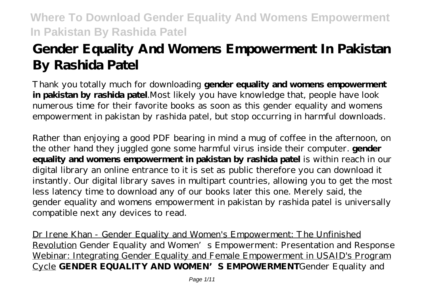# **Gender Equality And Womens Empowerment In Pakistan By Rashida Patel**

Thank you totally much for downloading **gender equality and womens empowerment in pakistan by rashida patel**.Most likely you have knowledge that, people have look numerous time for their favorite books as soon as this gender equality and womens empowerment in pakistan by rashida patel, but stop occurring in harmful downloads.

Rather than enjoying a good PDF bearing in mind a mug of coffee in the afternoon, on the other hand they juggled gone some harmful virus inside their computer. **gender equality and womens empowerment in pakistan by rashida patel** is within reach in our digital library an online entrance to it is set as public therefore you can download it instantly. Our digital library saves in multipart countries, allowing you to get the most less latency time to download any of our books later this one. Merely said, the gender equality and womens empowerment in pakistan by rashida patel is universally compatible next any devices to read.

Dr Irene Khan - Gender Equality and Women's Empowerment: The Unfinished Revolution *Gender Equality and Women's Empowerment: Presentation and Response* Webinar: Integrating Gender Equality and Female Empowerment in USAID's Program Cycle **GENDER EQUALITY AND WOMEN'S EMPOWERMENT***Gender Equality and*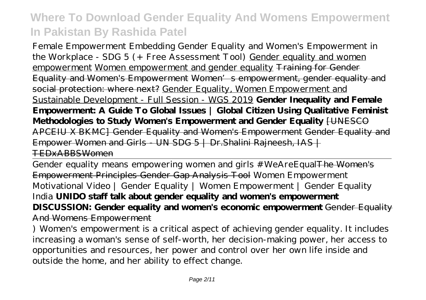*Female Empowerment Embedding Gender Equality and Women's Empowerment in the Workplace - SDG 5 (+ Free Assessment Tool)* Gender equality and women empowerment Women empowerment and gender equality Training for Gender Equality and Women's Empowerment Women's empowerment, gender equality and social protection: where next? Gender Equality, Women Empowerment and Sustainable Development - Full Session - WGS 2019 **Gender Inequality and Female Empowerment: A Guide To Global Issues | Global Citizen Using Qualitative Feminist Methodologies to Study Women's Empowerment and Gender Equality** [UNESCO APCEIU X BKMC] Gender Equality and Women's Empowerment Gender Equality and Empower Women and Girls - UN SDG  $5$  | Dr. Shalini Rajneesh,  $IAS$  | TEDxABBSWomen

Gender equality means empowering women and girls #WeAreEqualThe Women's Empowerment Principles Gender Gap Analysis Tool *Women Empowerment Motivational Video | Gender Equality | Women Empowerment | Gender Equality India* **UNIDO staff talk about gender equality and women's empowerment DISCUSSION: Gender equality and women's economic empowerment** Gender Equality And Womens Empowerment

) Women's empowerment is a critical aspect of achieving gender equality. It includes increasing a woman's sense of self-worth, her decision-making power, her access to opportunities and resources, her power and control over her own life inside and outside the home, and her ability to effect change.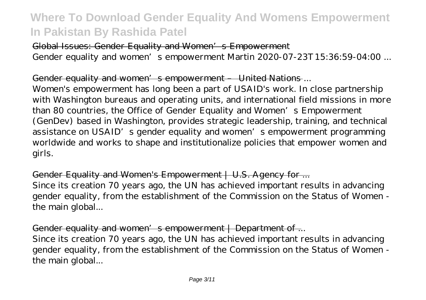### Global Issues: Gender Equality and Women's Empowerment

Gender equality and women's empowerment Martin 2020-07-23T15:36:59-04:00 ...

#### Gender equality and women's empowerment United Nations ...

Women's empowerment has long been a part of USAID's work. In close partnership with Washington bureaus and operating units, and international field missions in more than 80 countries, the Office of Gender Equality and Women's Empowerment (GenDev) based in Washington, provides strategic leadership, training, and technical assistance on USAID's gender equality and women's empowerment programming worldwide and works to shape and institutionalize policies that empower women and girls.

### Gender Equality and Women's Empowerment | U.S. Agency for ...

Since its creation 70 years ago, the UN has achieved important results in advancing gender equality, from the establishment of the Commission on the Status of Women the main global...

### Gender equality and women's empowerment | Department of ...

Since its creation 70 years ago, the UN has achieved important results in advancing gender equality, from the establishment of the Commission on the Status of Women the main global...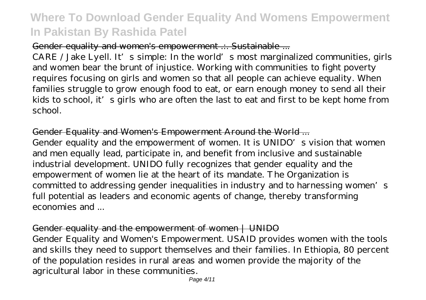### Gender equality and women's empowerment ... Sustainable ...

CARE / Jake Lyell. It's simple: In the world's most marginalized communities, girls and women bear the brunt of injustice. Working with communities to fight poverty requires focusing on girls and women so that all people can achieve equality. When families struggle to grow enough food to eat, or earn enough money to send all their kids to school, it's girls who are often the last to eat and first to be kept home from school.

### Gender Equality and Women's Empowerment Around the World ...

Gender equality and the empowerment of women. It is UNIDO's vision that women and men equally lead, participate in, and benefit from inclusive and sustainable industrial development. UNIDO fully recognizes that gender equality and the empowerment of women lie at the heart of its mandate. The Organization is committed to addressing gender inequalities in industry and to harnessing women's full potential as leaders and economic agents of change, thereby transforming economies and

### Gender equality and the empowerment of women | UNIDO

Gender Equality and Women's Empowerment. USAID provides women with the tools and skills they need to support themselves and their families. In Ethiopia, 80 percent of the population resides in rural areas and women provide the majority of the agricultural labor in these communities.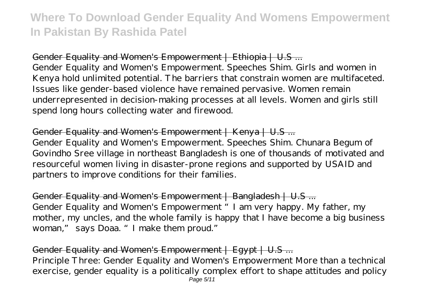Gender Equality and Women's Empowerment | Ethiopia | U.S ... Gender Equality and Women's Empowerment. Speeches Shim. Girls and women in Kenya hold unlimited potential. The barriers that constrain women are multifaceted. Issues like gender-based violence have remained pervasive. Women remain underrepresented in decision-making processes at all levels. Women and girls still spend long hours collecting water and firewood.

### Gender Equality and Women's Empowerment | Kenya | U.S ...

Gender Equality and Women's Empowerment. Speeches Shim. Chunara Begum of Govindho Sree village in northeast Bangladesh is one of thousands of motivated and resourceful women living in disaster-prone regions and supported by USAID and partners to improve conditions for their families.

Gender Equality and Women's Empowerment | Bangladesh | U.S ... Gender Equality and Women's Empowerment "I am very happy. My father, my mother, my uncles, and the whole family is happy that I have become a big business woman," says Doaa. "I make them proud."

#### Gender Equality and Women's Empowerment | Egypt | U.S ... Principle Three: Gender Equality and Women's Empowerment More than a technical exercise, gender equality is a politically complex effort to shape attitudes and policy Page 5/11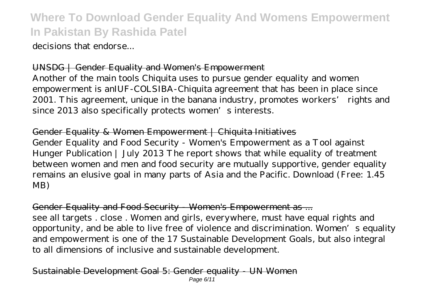decisions that endorse...

### UNSDG | Gender Equality and Women's Empowerment

Another of the main tools Chiquita uses to pursue gender equality and women empowerment is anIUF-COLSIBA-Chiquita agreement that has been in place since 2001. This agreement, unique in the banana industry, promotes workers' rights and since 2013 also specifically protects women's interests.

#### Gender Equality & Women Empowerment | Chiquita Initiatives

Gender Equality and Food Security - Women's Empowerment as a Tool against Hunger Publication | July 2013 The report shows that while equality of treatment between women and men and food security are mutually supportive, gender equality remains an elusive goal in many parts of Asia and the Pacific. Download (Free: 1.45 MB)

#### Gender Equality and Food Security - Women's Empowerment as ...

see all targets . close . Women and girls, everywhere, must have equal rights and opportunity, and be able to live free of violence and discrimination. Women's equality and empowerment is one of the 17 Sustainable Development Goals, but also integral to all dimensions of inclusive and sustainable development.

#### ainable Development Goal 5: Gender equality - UN Women Page 6/11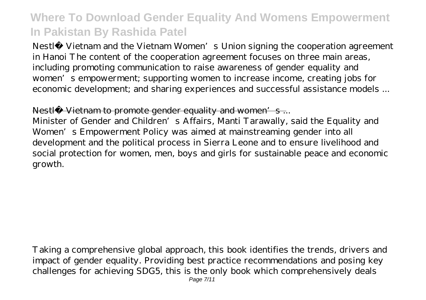Nestlé Vietnam and the Vietnam Women's Union signing the cooperation agreement in Hanoi The content of the cooperation agreement focuses on three main areas, including promoting communication to raise awareness of gender equality and women's empowerment; supporting women to increase income, creating jobs for economic development; and sharing experiences and successful assistance models ...

### Nestlé Vietnam to promote gender equality and women's...

Minister of Gender and Children's Affairs, Manti Tarawally, said the Equality and Women's Empowerment Policy was aimed at mainstreaming gender into all development and the political process in Sierra Leone and to ensure livelihood and social protection for women, men, boys and girls for sustainable peace and economic growth.

Taking a comprehensive global approach, this book identifies the trends, drivers and impact of gender equality. Providing best practice recommendations and posing key challenges for achieving SDG5, this is the only book which comprehensively deals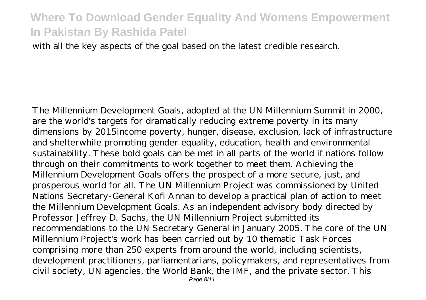with all the key aspects of the goal based on the latest credible research.

The Millennium Development Goals, adopted at the UN Millennium Summit in 2000, are the world's targets for dramatically reducing extreme poverty in its many dimensions by 2015income poverty, hunger, disease, exclusion, lack of infrastructure and shelterwhile promoting gender equality, education, health and environmental sustainability. These bold goals can be met in all parts of the world if nations follow through on their commitments to work together to meet them. Achieving the Millennium Development Goals offers the prospect of a more secure, just, and prosperous world for all. The UN Millennium Project was commissioned by United Nations Secretary-General Kofi Annan to develop a practical plan of action to meet the Millennium Development Goals. As an independent advisory body directed by Professor Jeffrey D. Sachs, the UN Millennium Project submitted its recommendations to the UN Secretary General in January 2005. The core of the UN Millennium Project's work has been carried out by 10 thematic Task Forces comprising more than 250 experts from around the world, including scientists, development practitioners, parliamentarians, policymakers, and representatives from civil society, UN agencies, the World Bank, the IMF, and the private sector. This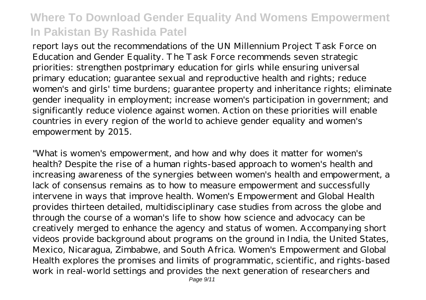report lays out the recommendations of the UN Millennium Project Task Force on Education and Gender Equality. The Task Force recommends seven strategic priorities: strengthen postprimary education for girls while ensuring universal primary education; guarantee sexual and reproductive health and rights; reduce women's and girls' time burdens; guarantee property and inheritance rights; eliminate gender inequality in employment; increase women's participation in government; and significantly reduce violence against women. Action on these priorities will enable countries in every region of the world to achieve gender equality and women's empowerment by 2015.

"What is women's empowerment, and how and why does it matter for women's health? Despite the rise of a human rights-based approach to women's health and increasing awareness of the synergies between women's health and empowerment, a lack of consensus remains as to how to measure empowerment and successfully intervene in ways that improve health. Women's Empowerment and Global Health provides thirteen detailed, multidisciplinary case studies from across the globe and through the course of a woman's life to show how science and advocacy can be creatively merged to enhance the agency and status of women. Accompanying short videos provide background about programs on the ground in India, the United States, Mexico, Nicaragua, Zimbabwe, and South Africa. Women's Empowerment and Global Health explores the promises and limits of programmatic, scientific, and rights-based work in real-world settings and provides the next generation of researchers and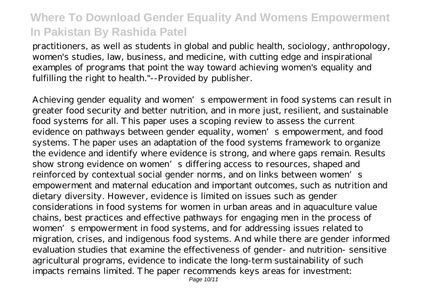practitioners, as well as students in global and public health, sociology, anthropology, women's studies, law, business, and medicine, with cutting edge and inspirational examples of programs that point the way toward achieving women's equality and fulfilling the right to health."--Provided by publisher.

Achieving gender equality and women's empowerment in food systems can result in greater food security and better nutrition, and in more just, resilient, and sustainable food systems for all. This paper uses a scoping review to assess the current evidence on pathways between gender equality, women's empowerment, and food systems. The paper uses an adaptation of the food systems framework to organize the evidence and identify where evidence is strong, and where gaps remain. Results show strong evidence on women's differing access to resources, shaped and reinforced by contextual social gender norms, and on links between women's empowerment and maternal education and important outcomes, such as nutrition and dietary diversity. However, evidence is limited on issues such as gender considerations in food systems for women in urban areas and in aquaculture value chains, best practices and effective pathways for engaging men in the process of women's empowerment in food systems, and for addressing issues related to migration, crises, and indigenous food systems. And while there are gender informed evaluation studies that examine the effectiveness of gender- and nutrition- sensitive agricultural programs, evidence to indicate the long-term sustainability of such impacts remains limited. The paper recommends keys areas for investment: